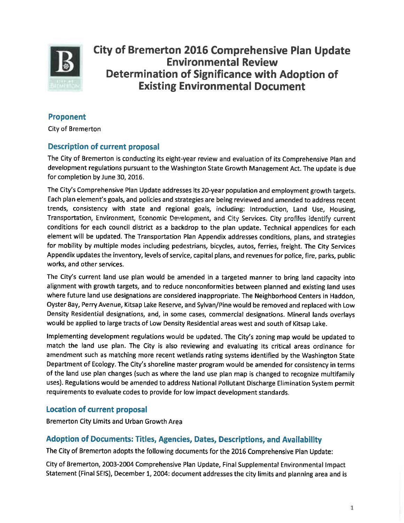

**City of Bremerton 2016 Comprehensive Plan Update Environmental Review Determination of Significance with Adoption of Existing Environmental Document** 

## **Proponent**

**City of Bremerton** 

## **Description of current proposal**

The City of Bremerton is conducting its eight-year review and evaluation of its Comprehensive Plan and development regulations pursuant to the Washington State Growth Management Act. The update is due for completion by June 30, 2016.

The City's Comprehensive Plan Update addresses its 20-year population and employment growth targets. Each plan element's goals, and policies and strategies are being reviewed and amended to address recent trends, consistency with state and regional goals, including: Introduction, Land Use, Housing, Transportation, Environment, Economic Development, and City Services. City profiles identify current conditions for each council district as a backdrop to the plan update. Technical appendices for each element will be updated. The Transportation Plan Appendix addresses conditions, plans, and strategies for mobility by multiple modes including pedestrians, bicycles, autos, ferries, freight. The City Services Appendix updates the inventory, levels of service, capital plans, and revenues for police, fire, parks, public works, and other services.

The City's current land use plan would be amended in a targeted manner to bring land capacity into alignment with growth targets, and to reduce nonconformities between planned and existing land uses where future land use designations are considered inappropriate. The Neighborhood Centers in Haddon, Oyster Bay, Perry Avenue, Kitsap Lake Reserve, and Sylvan/Pine would be removed and replaced with Low Density Residential designations, and, in some cases, commercial designations. Mineral lands overlays would be applied to large tracts of Low Density Residential areas west and south of Kitsap Lake.

Implementing development regulations would be updated. The City's zoning map would be updated to match the land use plan. The City is also reviewing and evaluating its critical areas ordinance for amendment such as matching more recent wetlands rating systems identified by the Washington State Department of Ecology. The City's shoreline master program would be amended for consistency in terms of the land use plan changes (such as where the land use plan map is changed to recognize multifamily uses). Regulations would be amended to address National Pollutant Discharge Elimination System permit requirements to evaluate codes to provide for low impact development standards.

### **Location of current proposal**

**Bremerton City Limits and Urban Growth Area** 

### **Adoption of Documents: Titles, Agencies, Dates, Descriptions, and Availability**

The City of Bremerton adopts the following documents for the 2016 Comprehensive Plan Update:

City of Bremerton, 2003-2004 Comprehensive Plan Update, Final Supplemental Environmental Impact Statement (Final SEIS), December 1, 2004: document addresses the city limits and planning area and is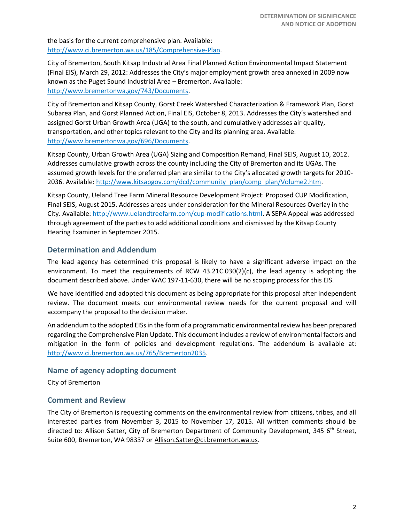the basis for the current comprehensive plan. Available: [http://www.ci.bremerton.wa.us/185/Comprehensive-Plan.](http://www.ci.bremerton.wa.us/185/Comprehensive-Plan)

City of Bremerton, South Kitsap Industrial Area Final Planned Action Environmental Impact Statement (Final EIS), March 29, 2012: Addresses the City's major employment growth area annexed in 2009 now known as the Puget Sound Industrial Area – Bremerton. Available: [http://www.bremertonwa.gov/743/Documents.](http://www.bremertonwa.gov/743/Documents)

City of Bremerton and Kitsap County, Gorst Creek Watershed Characterization & Framework Plan, Gorst Subarea Plan, and Gorst Planned Action, Final EIS, October 8, 2013. Addresses the City's watershed and assigned Gorst Urban Growth Area (UGA) to the south, and cumulatively addresses air quality, transportation, and other topics relevant to the City and its planning area. Available: [http://www.bremertonwa.gov/696/Documents.](http://www.bremertonwa.gov/696/Documents)

Kitsap County, Urban Growth Area (UGA) Sizing and Composition Remand, Final SEIS, August 10, 2012. Addresses cumulative growth across the county including the City of Bremerton and its UGAs. The assumed growth levels for the preferred plan are similar to the City's allocated growth targets for 2010- 2036. Available[: http://www.kitsapgov.com/dcd/community\\_plan/comp\\_plan/Volume2.htm.](http://www.kitsapgov.com/dcd/community_plan/comp_plan/Volume2.htm)

Kitsap County, Ueland Tree Farm Mineral Resource Development Project: Proposed CUP Modification, Final SEIS, August 2015. Addresses areas under consideration for the Mineral Resources Overlay in the City. Available[: http://www.uelandtreefarm.com/cup-modifications.html.](http://www.uelandtreefarm.com/cup-modifications.html) A SEPA Appeal was addressed through agreement of the parties to add additional conditions and dismissed by the Kitsap County Hearing Examiner in September 2015.

### **Determination and Addendum**

The lead agency has determined this proposal is likely to have a significant adverse impact on the environment. To meet the requirements of RCW 43.21C.030(2)(c), the lead agency is adopting the document described above. Under WAC 197-11-630, there will be no scoping process for this EIS.

We have identified and adopted this document as being appropriate for this proposal after independent review. The document meets our environmental review needs for the current proposal and will accompany the proposal to the decision maker.

An addendum to the adopted EISs in the form of a programmatic environmental review has been prepared regarding the Comprehensive Plan Update. This document includes a review of environmental factors and mitigation in the form of policies and development regulations. The addendum is available at: [http://www.ci.bremerton.wa.us/765/Bremerton2035.](http://www.ci.bremerton.wa.us/765/Bremerton2035)

#### **Name of agency adopting document**

City of Bremerton

### **Comment and Review**

The City of Bremerton is requesting comments on the environmental review from citizens, tribes, and all interested parties from November 3, 2015 to November 17, 2015. All written comments should be directed to: Allison Satter, City of Bremerton Department of Community Development, 345 6<sup>th</sup> Street, Suite 600, Bremerton, WA 98337 or [Allison.Satter@ci.bremerton.wa.us.](mailto:Allison.Satter@ci.bremerton.wa.us)